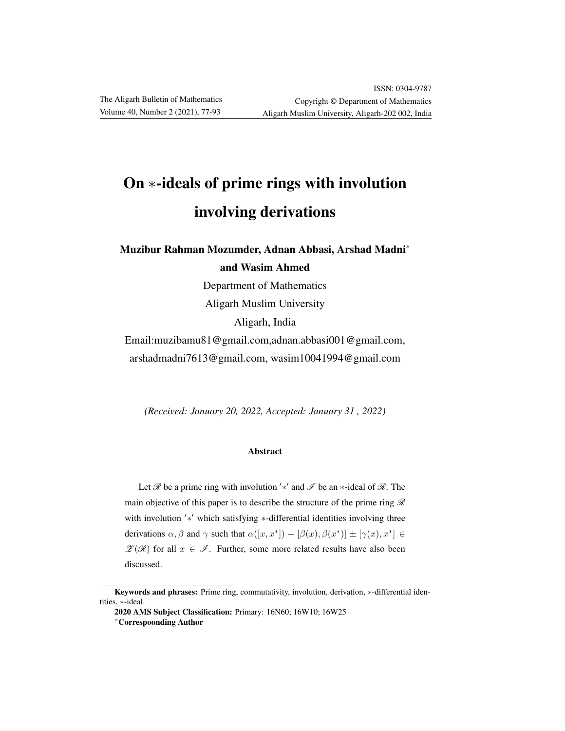# On ∗-ideals of prime rings with involution involving derivations

Muzibur Rahman Mozumder, Adnan Abbasi, Arshad Madni<sup>∗</sup> and Wasim Ahmed

> Department of Mathematics Aligarh Muslim University Aligarh, India

Email:muzibamu81@gmail.com,adnan.abbasi001@gmail.com, arshadmadni7613@gmail.com, wasim10041994@gmail.com

*(Received: January 20, 2022, Accepted: January 31 , 2022)*

#### Abstract

Let  $\mathscr R$  be a prime ring with involution  $'$ \*' and  $\mathscr I$  be an \*-ideal of  $\mathscr R$ . The main objective of this paper is to describe the structure of the prime ring  $\mathscr R$ with involution '\*' which satisfying \*-differential identities involving three derivations  $\alpha, \beta$  and  $\gamma$  such that  $\alpha([x, x^*]) + [\beta(x), \beta(x^*)] \pm [\gamma(x), x^*] \in$  $\mathscr{Z}(\mathscr{R})$  for all  $x \in \mathscr{I}$ . Further, some more related results have also been discussed.

Keywords and phrases: Prime ring, commutativity, involution, derivation, \*-differential identities, ∗-ideal.

<sup>2020</sup> AMS Subject Classification: Primary: 16N60; 16W10; 16W25 <sup>∗</sup>Correspoonding Author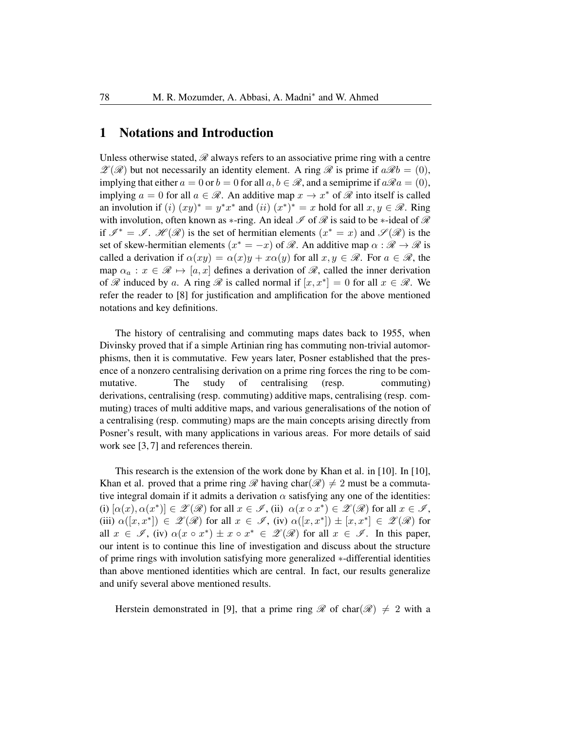#### 1 Notations and Introduction

Unless otherwise stated,  $\mathscr R$  always refers to an associative prime ring with a centre  $\mathscr{Z}(\mathscr{R})$  but not necessarily an identity element. A ring  $\mathscr{R}$  is prime if  $a\mathscr{R}b = (0)$ , implying that either  $a = 0$  or  $b = 0$  for all  $a, b \in \mathcal{R}$ , and a semiprime if  $a\mathcal{R}a = (0)$ , implying  $a = 0$  for all  $a \in \mathcal{R}$ . An additive map  $x \to x^*$  of  $\mathcal R$  into itself is called an involution if  $(i)$   $(xy)^* = y^*x^*$  and  $(ii)$   $(x^*)^* = x$  hold for all  $x, y \in \mathcal{R}$ . Ring with involution, often known as ∗-ring. An ideal  $\mathscr I$  of  $\mathscr R$  is said to be  $\ast$ -ideal of  $\mathscr R$ if  $\mathscr{I}^* = \mathscr{I}$ .  $\mathscr{H}(\mathscr{R})$  is the set of hermitian elements  $(x^* = x)$  and  $\mathscr{I}(\mathscr{R})$  is the set of skew-hermitian elements  $(x^* = -x)$  of  $\mathcal{R}$ . An additive map  $\alpha : \mathcal{R} \to \mathcal{R}$  is called a derivation if  $\alpha(xy) = \alpha(x)y + x\alpha(y)$  for all  $x, y \in \mathcal{R}$ . For  $a \in \mathcal{R}$ , the map  $\alpha_a : x \in \mathcal{R} \mapsto [a, x]$  defines a derivation of  $\mathcal{R}$ , called the inner derivation of  $\mathscr R$  induced by a. A ring  $\mathscr R$  is called normal if  $[x, x^*]=0$  for all  $x \in \mathscr R$ . We refer the reader to [8] for justification and amplification for the above mentioned notations and key definitions.

The history of centralising and commuting maps dates back to 1955, when Divinsky proved that if a simple Artinian ring has commuting non-trivial automorphisms, then it is commutative. Few years later, Posner established that the presence of a nonzero centralising derivation on a prime ring forces the ring to be commutative. The study of centralising (resp. commuting) derivations, centralising (resp. commuting) additive maps, centralising (resp. commuting) traces of multi additive maps, and various generalisations of the notion of a centralising (resp. commuting) maps are the main concepts arising directly from Posner's result, with many applications in various areas. For more details of said work see [3, 7] and references therein.

This research is the extension of the work done by Khan et al. in [10]. In [10], Khan et al. proved that a prime ring  $\mathscr R$  having char( $\mathscr R$ )  $\neq$  2 must be a commutative integral domain if it admits a derivation  $\alpha$  satisfying any one of the identities: (i)  $[\alpha(x), \alpha(x^*)] \in \mathscr{Z}(\mathscr{R})$  for all  $x \in \mathscr{I}$ , (ii)  $\alpha(x \circ x^*) \in \mathscr{Z}(\mathscr{R})$  for all  $x \in \mathscr{I}$ , (iii)  $\alpha([x,x^*]) \in \mathscr{Z}(\mathscr{R})$  for all  $x \in \mathscr{I}$ , (iv)  $\alpha([x,x^*]) \pm [x,x^*] \in \mathscr{Z}(\mathscr{R})$  for all  $x \in \mathscr{I}$ , (iv)  $\alpha(x \circ x^*) \pm x \circ x^* \in \mathscr{Z}(\mathscr{R})$  for all  $x \in \mathscr{I}$ . In this paper, our intent is to continue this line of investigation and discuss about the structure of prime rings with involution satisfying more generalized ∗-differential identities than above mentioned identities which are central. In fact, our results generalize and unify several above mentioned results.

Herstein demonstrated in [9], that a prime ring  $\mathscr R$  of char $(\mathscr R) \neq 2$  with a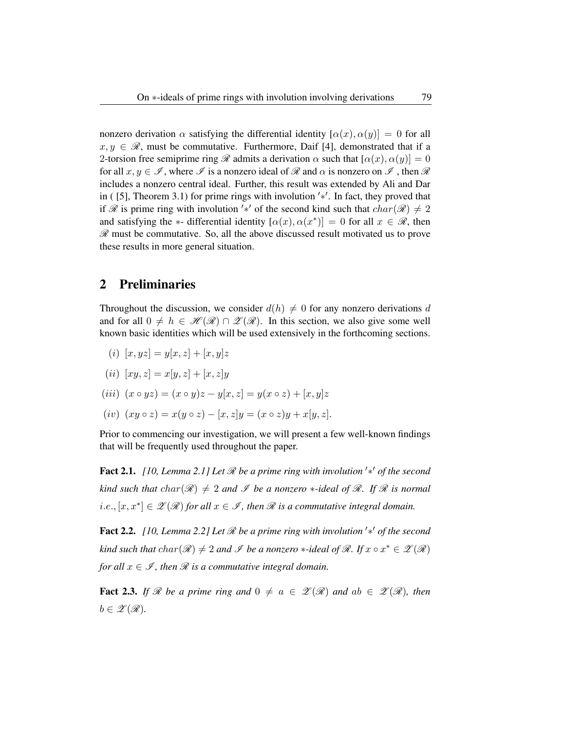nonzero derivation  $\alpha$  satisfying the differential identity  $[\alpha(x), \alpha(y)] = 0$  for all  $x, y \in \mathcal{R}$ , must be commutative. Furthermore, Daif [4], demonstrated that if a 2-torsion free semiprime ring  $\mathscr R$  admits a derivation  $\alpha$  such that  $[\alpha(x), \alpha(y)] = 0$ for all  $x, y \in \mathscr{I}$ , where  $\mathscr{I}$  is a nonzero ideal of  $\mathscr{R}$  and  $\alpha$  is nonzero on  $\mathscr{I}$ , then  $\mathscr{R}$ includes a nonzero central ideal. Further, this result was extended by Ali and Dar in ( [5], Theorem 3.1) for prime rings with involution ′∗ ′ . In fact, they proved that if R is prime ring with involution '\*' of the second kind such that  $char(\mathcal{R}) \neq 2$ and satisfying the  $\ast$ - differential identity  $[\alpha(x), \alpha(x^*)] = 0$  for all  $x \in \mathcal{R}$ , then  $\mathscr R$  must be commutative. So, all the above discussed result motivated us to prove these results in more general situation.

### 2 Preliminaries

Throughout the discussion, we consider  $d(h) \neq 0$  for any nonzero derivations d and for all  $0 \neq h \in \mathcal{H}(\mathcal{R}) \cap \mathcal{L}(\mathcal{R})$ . In this section, we also give some well known basic identities which will be used extensively in the forthcoming sections.

- (i)  $[x, yz] = y[x, z] + [x, y]z$
- (*ii*)  $[xy, z] = x[y, z] + [x, z]y$

$$
(iii) (x \circ yz) = (x \circ y)z - y[x, z] = y(x \circ z) + [x, y]z
$$

(iv)  $(xy \circ z) = x(y \circ z) - [x, z]y = (x \circ z)y + x[y, z].$ 

Prior to commencing our investigation, we will present a few well-known findings that will be frequently used throughout the paper.

Fact 2.1. *[10, Lemma 2.1] Let* R *be a prime ring with involution* ′∗ ′ *of the second kind such that*  $char(\mathcal{R}) \neq 2$  *and*  $\mathcal{I}$  *be a nonzero*  $*$ *-ideal of*  $\mathcal{R}$ *. If*  $\mathcal{R}$  *is normal*  $[i.e., [x, x^*] \in \mathscr{Z}(\mathscr{R})$  for all  $x \in \mathscr{I}$ , then  $\mathscr{R}$  is a commutative integral domain.

Fact 2.2. *[10, Lemma 2.2] Let* R *be a prime ring with involution* ′∗ ′ *of the second kind such that*  $char(\mathscr{R}) \neq 2$  *and*  $\mathscr{I}$  *be a nonzero*  $*$ *-ideal of*  $\mathscr{R}$ *. If*  $x \circ x^* \in \mathscr{Z}(\mathscr{R})$ *for all*  $x \in \mathcal{I}$ *, then*  $\mathcal{R}$  *is a commutative integral domain.* 

**Fact 2.3.** If R be a prime ring and  $0 \neq a \in \mathcal{Z}(\mathcal{R})$  and  $ab \in \mathcal{Z}(\mathcal{R})$ , then  $b \in \mathscr{Z}(\mathscr{R}).$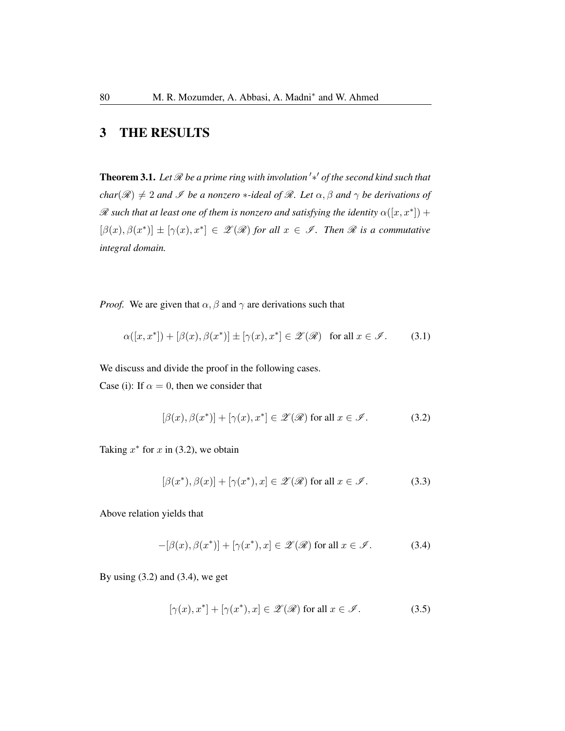# 3 THE RESULTS

Theorem 3.1. *Let* R *be a prime ring with involution* ′∗ ′ *of the second kind such that char*( $\mathcal{R}$ )  $\neq$  2 *and*  $\mathcal{I}$  *be a nonzero* \**-ideal of*  $\mathcal{R}$ *. Let*  $\alpha$ *,*  $\beta$  *and*  $\gamma$  *be derivations of*  $\mathscr R$  such that at least one of them is nonzero and satisfying the identity  $\alpha([x,x^*])$  +  $[\beta(x), \beta(x^*)] \pm [\gamma(x), x^*] \in \mathscr{Z}(\mathscr{R})$  for all  $x \in \mathscr{I}$ . Then  $\mathscr{R}$  is a commutative *integral domain.*

*Proof.* We are given that  $\alpha$ ,  $\beta$  and  $\gamma$  are derivations such that

$$
\alpha([x, x^*]) + [\beta(x), \beta(x^*)] \pm [\gamma(x), x^*] \in \mathscr{Z}(\mathscr{R}) \text{ for all } x \in \mathscr{I}.
$$
 (3.1)

We discuss and divide the proof in the following cases.

Case (i): If  $\alpha = 0$ , then we consider that

$$
[\beta(x), \beta(x^*)] + [\gamma(x), x^*] \in \mathscr{Z}(\mathscr{R}) \text{ for all } x \in \mathscr{I}.
$$
 (3.2)

Taking  $x^*$  for  $x$  in (3.2), we obtain

$$
[\beta(x^*), \beta(x)] + [\gamma(x^*), x] \in \mathscr{Z}(\mathscr{R}) \text{ for all } x \in \mathscr{I}.
$$
 (3.3)

Above relation yields that

$$
-[\beta(x), \beta(x^*)] + [\gamma(x^*), x] \in \mathscr{Z}(\mathscr{R}) \text{ for all } x \in \mathscr{I}.
$$
 (3.4)

By using  $(3.2)$  and  $(3.4)$ , we get

$$
[\gamma(x), x^*] + [\gamma(x^*), x] \in \mathscr{Z}(\mathscr{R}) \text{ for all } x \in \mathscr{I}.
$$
 (3.5)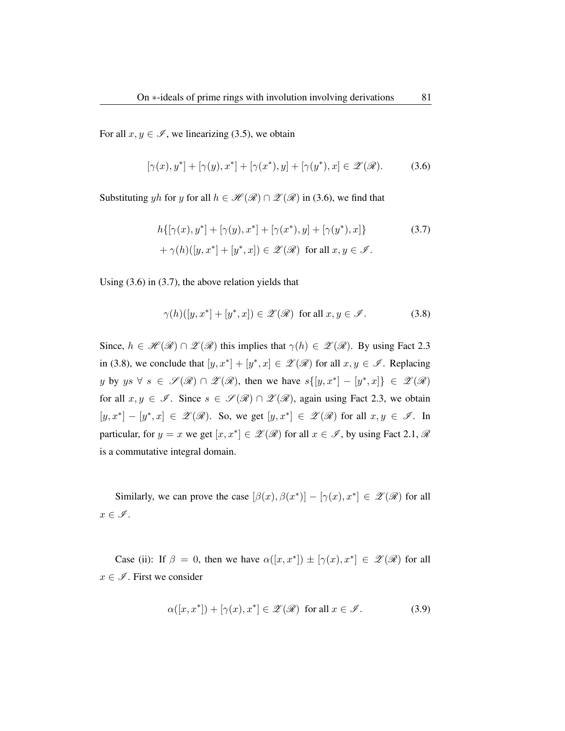For all  $x, y \in \mathscr{I}$ , we linearizing (3.5), we obtain

$$
[\gamma(x), y^*] + [\gamma(y), x^*] + [\gamma(x^*), y] + [\gamma(y^*), x] \in \mathscr{Z}(\mathscr{R}).
$$
 (3.6)

Substituting yh for y for all  $h \in \mathcal{H}(\mathcal{R}) \cap \mathcal{L}(\mathcal{R})$  in (3.6), we find that

$$
h\{[\gamma(x), y^*] + [\gamma(y), x^*] + [\gamma(x^*), y] + [\gamma(y^*), x]\}
$$
\n
$$
+ \gamma(h)([y, x^*] + [y^*, x]) \in \mathscr{Z}(\mathscr{R}) \text{ for all } x, y \in \mathscr{I}.
$$
\n(3.7)

Using (3.6) in (3.7), the above relation yields that

$$
\gamma(h)([y, x^*] + [y^*, x]) \in \mathscr{Z}(\mathscr{R}) \text{ for all } x, y \in \mathscr{I}.
$$
 (3.8)

Since,  $h \in \mathcal{H}(\mathcal{R}) \cap \mathcal{Z}(\mathcal{R})$  this implies that  $\gamma(h) \in \mathcal{Z}(\mathcal{R})$ . By using Fact 2.3 in (3.8), we conclude that  $[y, x^*] + [y^*, x] \in \mathscr{L}(\mathscr{R})$  for all  $x, y \in \mathscr{I}$ . Replacing y by  $ys \forall s \in \mathscr{S}(\mathscr{R}) \cap \mathscr{Z}(\mathscr{R})$ , then we have  $s([y,x^*]-[y^*,x]) \in \mathscr{Z}(\mathscr{R})$ for all  $x, y \in \mathcal{I}$ . Since  $s \in \mathcal{I}(\mathcal{R}) \cap \mathcal{Z}(\mathcal{R})$ , again using Fact 2.3, we obtain  $[y, x^*] - [y^*, x] \in \mathscr{Z}(\mathscr{R})$ . So, we get  $[y, x^*] \in \mathscr{Z}(\mathscr{R})$  for all  $x, y \in \mathscr{I}$ . In particular, for  $y = x$  we get  $[x, x^*] \in \mathscr{Z}(\mathscr{R})$  for all  $x \in \mathscr{I}$ , by using Fact 2.1,  $\mathscr{R}$ is a commutative integral domain.

Similarly, we can prove the case  $[\beta(x), \beta(x^*)] - [\gamma(x), x^*] \in \mathscr{L}(\mathscr{R})$  for all  $x\in\mathscr{I}.$ 

Case (ii): If  $\beta = 0$ , then we have  $\alpha([x, x^*]) \pm [\gamma(x), x^*] \in \mathcal{Z}(\mathcal{R})$  for all  $x \in \mathscr{I}$ . First we consider

$$
\alpha([x, x^*]) + [\gamma(x), x^*] \in \mathscr{Z}(\mathscr{R}) \text{ for all } x \in \mathscr{I}.
$$
 (3.9)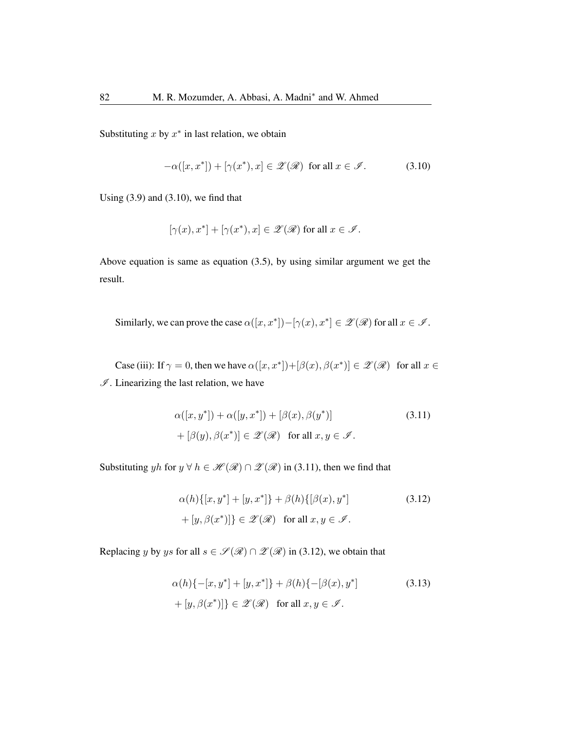Substituting  $x$  by  $x^*$  in last relation, we obtain

$$
-\alpha([x, x^*]) + [\gamma(x^*), x] \in \mathscr{Z}(\mathscr{R}) \text{ for all } x \in \mathscr{I}.
$$
 (3.10)

Using  $(3.9)$  and  $(3.10)$ , we find that

$$
[\gamma(x),x^*]+[\gamma(x^*),x]\in\mathscr{Z}(\mathscr{R})\text{ for all }x\in\mathscr{I}.
$$

Above equation is same as equation (3.5), by using similar argument we get the result.

Similarly, we can prove the case  $\alpha([x,x^*]) - [\gamma(x), x^*] \in \mathscr{L}(\mathscr{R})$  for all  $x \in \mathscr{I}$ .

Case (iii): If  $\gamma = 0$ , then we have  $\alpha([x, x^*]) + [\beta(x), \beta(x^*)] \in \mathscr{Z}(\mathscr{R})$  for all  $x \in$  $I$ . Linearizing the last relation, we have

$$
\alpha([x, y^*]) + \alpha([y, x^*]) + [\beta(x), \beta(y^*)]
$$
\n
$$
+ [\beta(y), \beta(x^*)] \in \mathcal{Z}(\mathcal{R}) \quad \text{for all } x, y \in \mathcal{I}.
$$
\n(3.11)

Substituting yh for  $y \forall h \in \mathcal{H}(\mathcal{R}) \cap \mathcal{Z}(\mathcal{R})$  in (3.11), then we find that

$$
\alpha(h)\{[x, y^*] + [y, x^*]\} + \beta(h)\{[\beta(x), y^*]\}
$$
\n
$$
+ [y, \beta(x^*)]\} \in \mathscr{Z}(\mathscr{R}) \text{ for all } x, y \in \mathscr{I}.
$$
\n(3.12)

Replacing y by ys for all  $s \in \mathcal{S}(\mathcal{R}) \cap \mathcal{Z}(\mathcal{R})$  in (3.12), we obtain that

$$
\alpha(h)\{-[x, y^*] + [y, x^*]\} + \beta(h)\{-[\beta(x), y^*]
$$
\n
$$
+ [y, \beta(x^*)]\} \in \mathcal{Z}(\mathcal{R}) \quad \text{for all } x, y \in \mathcal{I}.
$$
\n(3.13)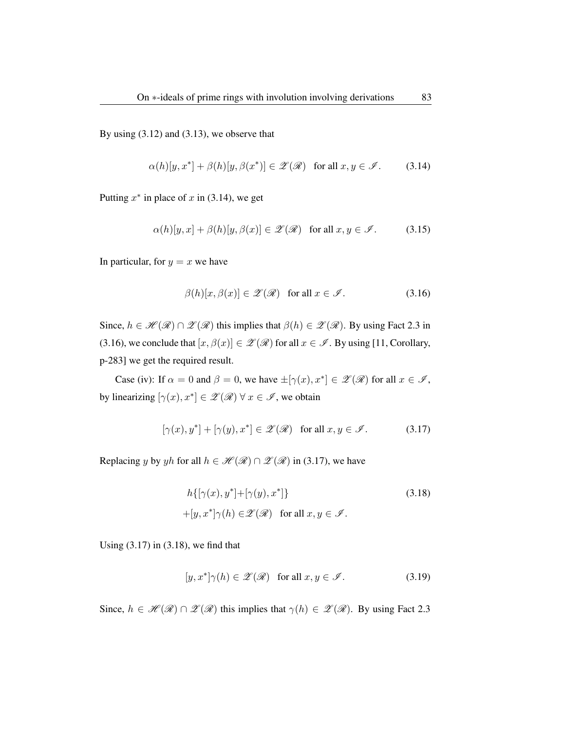By using  $(3.12)$  and  $(3.13)$ , we observe that

$$
\alpha(h)[y, x^*] + \beta(h)[y, \beta(x^*)] \in \mathscr{Z}(\mathscr{R}) \quad \text{for all } x, y \in \mathscr{I}.
$$
 (3.14)

Putting  $x^*$  in place of x in (3.14), we get

$$
\alpha(h)[y,x] + \beta(h)[y,\beta(x)] \in \mathscr{Z}(\mathscr{R}) \quad \text{for all } x, y \in \mathscr{I}. \tag{3.15}
$$

In particular, for  $y = x$  we have

$$
\beta(h)[x,\beta(x)] \in \mathscr{Z}(\mathscr{R}) \quad \text{for all } x \in \mathscr{I}.
$$
 (3.16)

Since,  $h \in \mathcal{H}(\mathcal{R}) \cap \mathcal{Z}(\mathcal{R})$  this implies that  $\beta(h) \in \mathcal{Z}(\mathcal{R})$ . By using Fact 2.3 in (3.16), we conclude that  $[x, \beta(x)] \in \mathscr{Z}(\mathscr{R})$  for all  $x \in \mathscr{I}$ . By using [11, Corollary, p-283] we get the required result.

Case (iv): If  $\alpha = 0$  and  $\beta = 0$ , we have  $\pm [\gamma(x), x^*] \in \mathscr{L}(\mathscr{R})$  for all  $x \in \mathscr{I}$ , by linearizing  $[\gamma(x), x^*] \in \mathscr{Z}(\mathscr{R}) \forall x \in \mathscr{I}$ , we obtain

$$
[\gamma(x), y^*] + [\gamma(y), x^*] \in \mathscr{Z}(\mathscr{R}) \quad \text{for all } x, y \in \mathscr{I}.
$$
 (3.17)

Replacing y by yh for all  $h \in \mathcal{H}(\mathcal{R}) \cap \mathcal{Z}(\mathcal{R})$  in (3.17), we have

$$
h\{[\gamma(x), y^*] + [\gamma(y), x^*]\}
$$
  
+
$$
[y, x^*]\gamma(h) \in \mathscr{Z}(\mathscr{R}) \text{ for all } x, y \in \mathscr{I}.
$$
 (3.18)

Using  $(3.17)$  in  $(3.18)$ , we find that

$$
[y, x^*] \gamma(h) \in \mathscr{Z}(\mathscr{R}) \quad \text{for all } x, y \in \mathscr{I}.
$$
 (3.19)

Since,  $h \in \mathcal{H}(\mathcal{R}) \cap \mathcal{Z}(\mathcal{R})$  this implies that  $\gamma(h) \in \mathcal{Z}(\mathcal{R})$ . By using Fact 2.3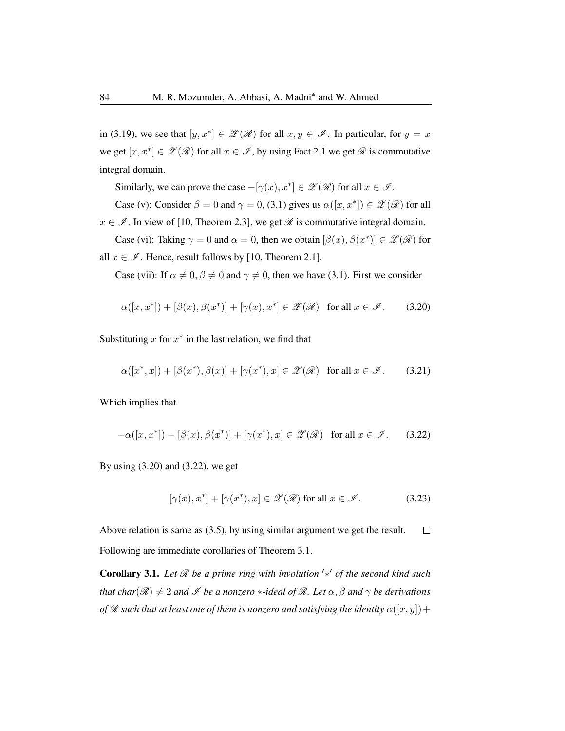in (3.19), we see that  $[y, x^*] \in \mathscr{L}(\mathscr{R})$  for all  $x, y \in \mathscr{I}$ . In particular, for  $y = x$ we get  $[x, x^*] \in \mathscr{L}(\mathscr{R})$  for all  $x \in \mathscr{I}$ , by using Fact 2.1 we get  $\mathscr{R}$  is commutative integral domain.

Similarly, we can prove the case  $-[\gamma(x), x^*] \in \mathscr{Z}(\mathscr{R})$  for all  $x \in \mathscr{I}$ .

Case (v): Consider  $\beta = 0$  and  $\gamma = 0$ , (3.1) gives us  $\alpha([x, x^*]) \in \mathscr{L}(\mathscr{R})$  for all

 $x \in \mathcal{I}$ . In view of [10, Theorem 2.3], we get  $\mathcal{R}$  is commutative integral domain.

Case (vi): Taking  $\gamma = 0$  and  $\alpha = 0$ , then we obtain  $[\beta(x), \beta(x^*)] \in \mathscr{Z}(\mathscr{R})$  for all  $x \in \mathcal{I}$ . Hence, result follows by [10, Theorem 2.1].

Case (vii): If  $\alpha \neq 0$ ,  $\beta \neq 0$  and  $\gamma \neq 0$ , then we have (3.1). First we consider

$$
\alpha([x, x^*]) + [\beta(x), \beta(x^*)] + [\gamma(x), x^*] \in \mathscr{Z}(\mathscr{R}) \text{ for all } x \in \mathscr{I}. \tag{3.20}
$$

Substituting  $x$  for  $x^*$  in the last relation, we find that

$$
\alpha([x^*,x]) + [\beta(x^*), \beta(x)] + [\gamma(x^*), x] \in \mathscr{Z}(\mathscr{R}) \quad \text{for all } x \in \mathscr{I}. \tag{3.21}
$$

Which implies that

$$
-\alpha([x,x^*]) - [\beta(x), \beta(x^*)] + [\gamma(x^*), x] \in \mathscr{Z}(\mathscr{R}) \quad \text{for all } x \in \mathscr{I}.
$$
 (3.22)

By using (3.20) and (3.22), we get

$$
[\gamma(x), x^*] + [\gamma(x^*), x] \in \mathscr{Z}(\mathscr{R}) \text{ for all } x \in \mathscr{I}.
$$
 (3.23)

Above relation is same as (3.5), by using similar argument we get the result.  $\Box$ Following are immediate corollaries of Theorem 3.1.

Corollary 3.1. *Let* R *be a prime ring with involution* ′∗ ′ *of the second kind such that char*( $\mathscr{R}$ )  $\neq$  2 *and*  $\mathscr{I}$  *be a nonzero* \**-ideal of*  $\mathscr{R}$ *. Let*  $\alpha$ *,*  $\beta$  *and*  $\gamma$  *be derivations of*  $\mathscr R$  *such that at least one of them is nonzero and satisfying the identity*  $\alpha([x, y]) +$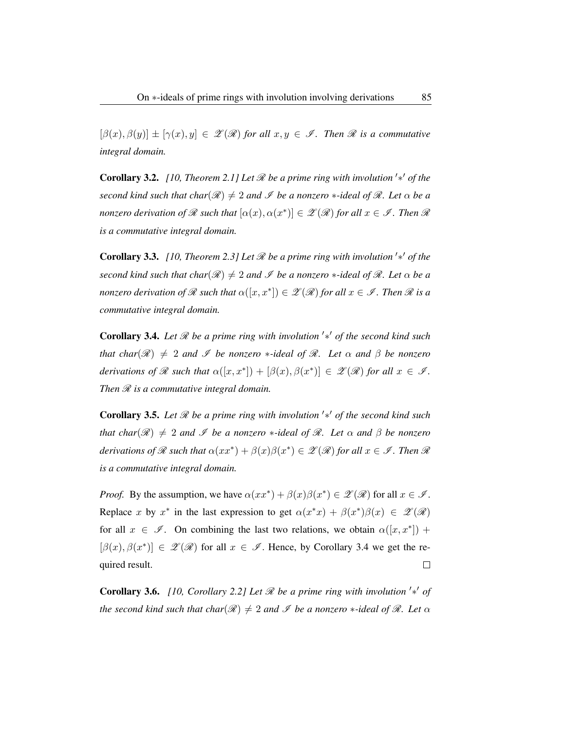$[\beta(x), \beta(y)] \pm [\gamma(x), y] \in \mathscr{Z}(\mathscr{R})$  for all  $x, y \in \mathscr{I}$ . Then  $\mathscr{R}$  is a commutative *integral domain.*

**Corollary 3.2.** [10, Theorem 2.1] Let  $\mathcal{R}$  be a prime ring with involution '\*' of the *second kind such that char*( $\mathscr{R}$ )  $\neq$  2 *and*  $\mathscr{I}$  *be a nonzero* \**-ideal of*  $\mathscr{R}$ *. Let*  $\alpha$  *be a nonzero derivation of*  $\mathscr R$  *such that*  $[\alpha(x), \alpha(x^*)] \in \mathscr Z(\mathscr R)$  for all  $x \in \mathscr I$  *. Then*  $\mathscr R$ *is a commutative integral domain.*

**Corollary 3.3.** [10, Theorem 2.3] Let  $\mathcal{R}$  be a prime ring with involution  $'\ast'$  of the *second kind such that char*( $\mathcal{R}$ )  $\neq$  2 *and*  $\mathcal{I}$  *be a nonzero*  $*$ *-ideal of*  $\mathcal{R}$ *. Let*  $\alpha$  *be a nonzero derivation of*  $\mathscr R$  *such that*  $\alpha([x,x^*]) \in \mathscr Z(\mathscr R)$  *for all*  $x \in \mathscr I$  *. Then*  $\mathscr R$  *is a commutative integral domain.*

Corollary 3.4. *Let* R *be a prime ring with involution* ′∗ ′ *of the second kind such that char*( $\mathscr{R}$ )  $\neq$  2 *and*  $\mathscr{I}$  *be nonzero* \**-ideal of*  $\mathscr{R}$ *. Let*  $\alpha$  *and*  $\beta$  *be nonzero derivations of*  $\mathscr R$  *such that*  $\alpha([x,x^*]) + [\beta(x), \beta(x^*)] \in \mathscr Z(\mathscr R)$  *for all*  $x \in \mathscr I$ *. Then*  $\mathcal R$  *is a commutative integral domain.* 

Corollary 3.5. *Let* R *be a prime ring with involution* ′∗ ′ *of the second kind such that char*( $\mathscr{R}$ )  $\neq$  2 *and*  $\mathscr{I}$  *be a nonzero*  $*$ *-ideal of*  $\mathscr{R}$ *. Let*  $\alpha$  *and*  $\beta$  *be nonzero*  $derivations$  of  $\mathscr R$  such that  $\alpha(xx^*)+\beta(x)\beta(x^*)\in\mathscr Z(\mathscr R)$  for all  $x\in\mathscr I$  *. Then*  $\mathscr R$ *is a commutative integral domain.*

*Proof.* By the assumption, we have  $\alpha(xx^*) + \beta(x)\beta(x^*) \in \mathcal{L}(\mathcal{R})$  for all  $x \in \mathcal{I}$ . Replace x by  $x^*$  in the last expression to get  $\alpha(x^*x) + \beta(x^*)\beta(x) \in \mathscr{Z}(\mathscr{R})$ for all  $x \in \mathscr{I}$ . On combining the last two relations, we obtain  $\alpha([x, x^*])$  +  $[\beta(x), \beta(x^*)] \in \mathscr{Z}(\mathscr{R})$  for all  $x \in \mathscr{I}$ . Hence, by Corollary 3.4 we get the re- $\Box$ quired result.

**Corollary 3.6.** [10, Corollary 2.2] Let  $\mathcal{R}$  be a prime ring with involution '\*' of *the second kind such that char*( $\mathscr{R}$ )  $\neq$  2 *and*  $\mathscr{I}$  *be a nonzero* \**-ideal of*  $\mathscr{R}$ *. Let*  $\alpha$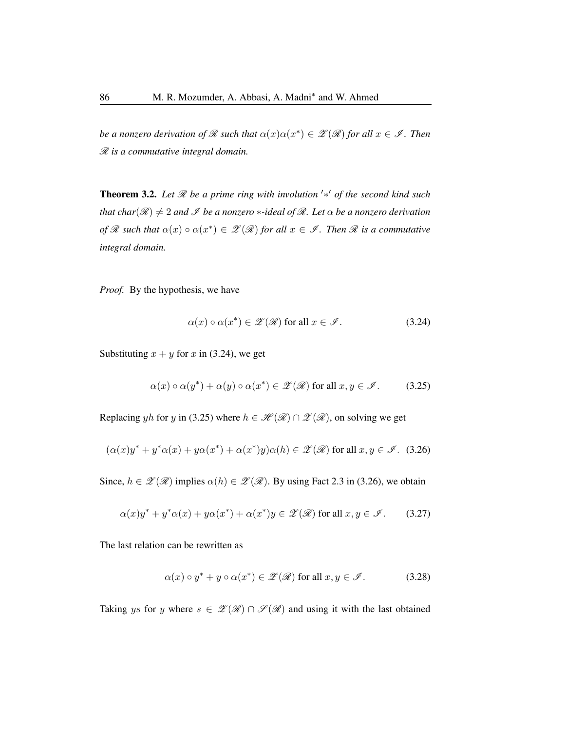*be a nonzero derivation of*  $\Re$  *such that*  $\alpha(x)\alpha(x^*) \in \mathscr{Z}(\mathscr{R})$  *for all*  $x \in \mathscr{I}$ *. Then* R *is a commutative integral domain.*

Theorem 3.2. Let *ℛ* be a prime ring with involution '\*' of the second kind such *that char*( $\mathcal{R}$ )  $\neq$  2 *and*  $\mathcal{I}$  *be a nonzero* \**-ideal of*  $\mathcal{R}$ *. Let*  $\alpha$  *be a nonzero derivation of*  $\mathscr R$  *such that*  $\alpha(x) \circ \alpha(x^*) \in \mathscr L(\mathscr R)$  *for all*  $x \in \mathscr I$ *. Then*  $\mathscr R$  *is a commutative integral domain.*

*Proof.* By the hypothesis, we have

$$
\alpha(x) \circ \alpha(x^*) \in \mathscr{Z}(\mathscr{R}) \text{ for all } x \in \mathscr{I}.
$$
 (3.24)

Substituting  $x + y$  for x in (3.24), we get

$$
\alpha(x) \circ \alpha(y^*) + \alpha(y) \circ \alpha(x^*) \in \mathscr{Z}(\mathscr{R}) \text{ for all } x, y \in \mathscr{I}. \tag{3.25}
$$

Replacing yh for y in (3.25) where  $h \in \mathcal{H}(\mathcal{R}) \cap \mathcal{L}(\mathcal{R})$ , on solving we get

$$
(\alpha(x)y^* + y^*\alpha(x) + y\alpha(x^*) + \alpha(x^*)y)\alpha(h) \in \mathscr{Z}(\mathscr{R}) \text{ for all } x, y \in \mathscr{I}. \tag{3.26}
$$

Since,  $h \in \mathscr{Z}(\mathscr{R})$  implies  $\alpha(h) \in \mathscr{Z}(\mathscr{R})$ . By using Fact 2.3 in (3.26), we obtain

$$
\alpha(x)y^* + y^*\alpha(x) + y\alpha(x^*) + \alpha(x^*)y \in \mathscr{Z}(\mathscr{R}) \text{ for all } x, y \in \mathscr{I}. \tag{3.27}
$$

The last relation can be rewritten as

$$
\alpha(x) \circ y^* + y \circ \alpha(x^*) \in \mathscr{Z}(\mathscr{R}) \text{ for all } x, y \in \mathscr{I}. \tag{3.28}
$$

Taking ys for y where  $s \in \mathcal{Z}(\mathcal{R}) \cap \mathcal{S}(\mathcal{R})$  and using it with the last obtained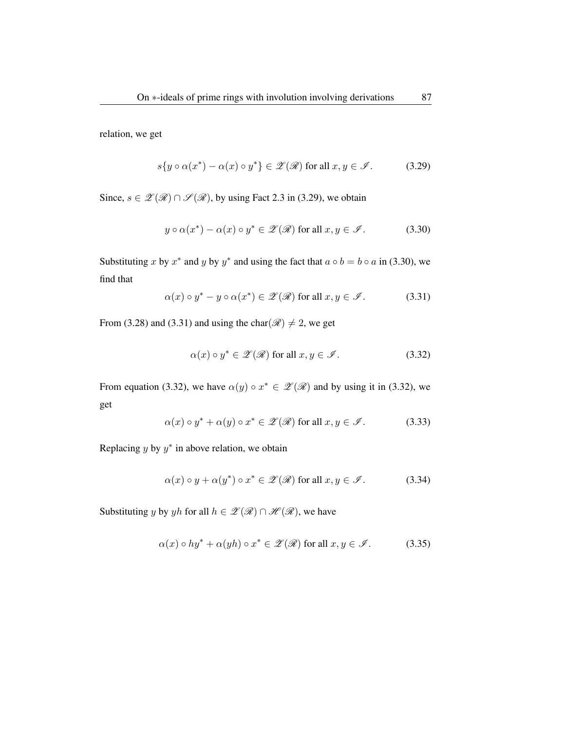relation, we get

$$
s\{y \circ \alpha(x^*) - \alpha(x) \circ y^*\} \in \mathscr{Z}(\mathscr{R}) \text{ for all } x, y \in \mathscr{I}. \tag{3.29}
$$

Since,  $s \in \mathcal{Z}(\mathcal{R}) \cap \mathcal{S}(\mathcal{R})$ , by using Fact 2.3 in (3.29), we obtain

$$
y \circ \alpha(x^*) - \alpha(x) \circ y^* \in \mathscr{Z}(\mathscr{R}) \text{ for all } x, y \in \mathscr{I}. \tag{3.30}
$$

Substituting x by  $x^*$  and y by  $y^*$  and using the fact that  $a \circ b = b \circ a$  in (3.30), we find that

$$
\alpha(x) \circ y^* - y \circ \alpha(x^*) \in \mathscr{Z}(\mathscr{R}) \text{ for all } x, y \in \mathscr{I}. \tag{3.31}
$$

From (3.28) and (3.31) and using the char( $\mathcal{R}$ )  $\neq$  2, we get

$$
\alpha(x) \circ y^* \in \mathscr{Z}(\mathscr{R}) \text{ for all } x, y \in \mathscr{I}. \tag{3.32}
$$

From equation (3.32), we have  $\alpha(y) \circ x^* \in \mathscr{L}(\mathscr{R})$  and by using it in (3.32), we get

$$
\alpha(x) \circ y^* + \alpha(y) \circ x^* \in \mathscr{Z}(\mathscr{R}) \text{ for all } x, y \in \mathscr{I}.
$$
 (3.33)

Replacing  $y$  by  $y^*$  in above relation, we obtain

$$
\alpha(x) \circ y + \alpha(y^*) \circ x^* \in \mathscr{Z}(\mathscr{R}) \text{ for all } x, y \in \mathscr{I}. \tag{3.34}
$$

Substituting y by yh for all  $h \in \mathscr{L}(\mathscr{R}) \cap \mathscr{H}(\mathscr{R})$ , we have

$$
\alpha(x) \circ hy^* + \alpha(yh) \circ x^* \in \mathscr{Z}(\mathscr{R}) \text{ for all } x, y \in \mathscr{I}.
$$
 (3.35)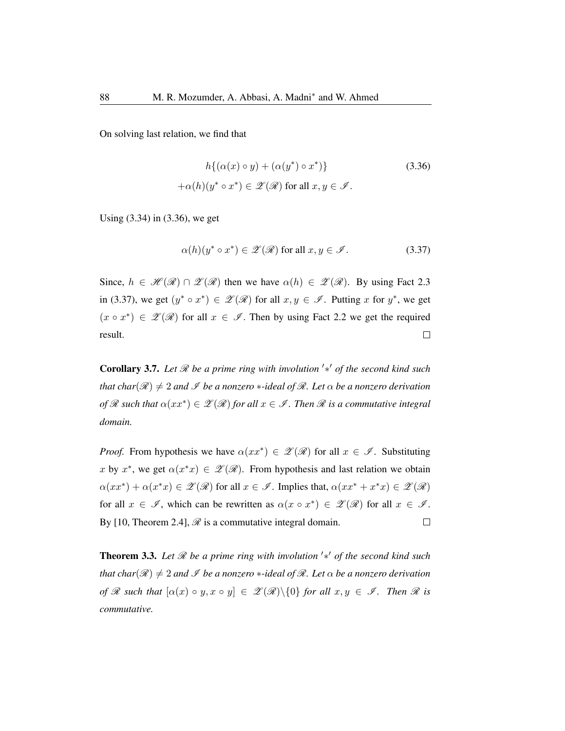On solving last relation, we find that

$$
h\{(\alpha(x) \circ y) + (\alpha(y^*) \circ x^*)\}
$$
\n
$$
+ \alpha(h)(y^* \circ x^*) \in \mathcal{Z}(\mathcal{R}) \text{ for all } x, y \in \mathcal{I}.
$$
\n(3.36)

Using (3.34) in (3.36), we get

$$
\alpha(h)(y^* \circ x^*) \in \mathscr{Z}(\mathscr{R}) \text{ for all } x, y \in \mathscr{I}. \tag{3.37}
$$

Since,  $h \in \mathcal{H}(\mathcal{R}) \cap \mathcal{Z}(\mathcal{R})$  then we have  $\alpha(h) \in \mathcal{Z}(\mathcal{R})$ . By using Fact 2.3 in (3.37), we get  $(y^* \circ x^*) \in \mathscr{L}(\mathscr{R})$  for all  $x, y \in \mathscr{I}$ . Putting x for  $y^*$ , we get  $(x \circ x^*) \in \mathscr{Z}(\mathscr{R})$  for all  $x \in \mathscr{I}$ . Then by using Fact 2.2 we get the required result.  $\Box$ 

Corollary 3.7. *Let* R *be a prime ring with involution* ′∗ ′ *of the second kind such that char*( $\mathcal{R}$ )  $\neq$  2 *and*  $\mathcal{I}$  *be a nonzero* \*-*ideal of*  $\mathcal{R}$ *. Let*  $\alpha$  *be a nonzero derivation*  $of \mathscr{R}$  such that  $\alpha(xx^*) \in \mathscr{Z}(\mathscr{R})$  for all  $x \in \mathscr{I}$  . Then  $\mathscr{R}$  is a commutative integral *domain.*

*Proof.* From hypothesis we have  $\alpha(xx^*) \in \mathscr{Z}(\mathscr{R})$  for all  $x \in \mathscr{I}$ . Substituting x by  $x^*$ , we get  $\alpha(x^*x) \in \mathscr{Z}(\mathscr{R})$ . From hypothesis and last relation we obtain  $\alpha(xx^*) + \alpha(x^*x) \in \mathscr{Z}(\mathscr{R})$  for all  $x \in \mathscr{I}$ . Implies that,  $\alpha(xx^* + x^*x) \in \mathscr{Z}(\mathscr{R})$ for all  $x \in \mathscr{I}$ , which can be rewritten as  $\alpha(x \circ x^*) \in \mathscr{Z}(\mathscr{R})$  for all  $x \in \mathscr{I}$ . By [10, Theorem 2.4],  $\mathcal{R}$  is a commutative integral domain.  $\Box$ 

Theorem 3.3. Let *ℛ* be a prime ring with involution '\*' of the second kind such *that char*( $\mathcal{R}$ )  $\neq$  2 *and*  $\mathcal{I}$  *be a nonzero*  $*$ *-ideal of*  $\mathcal{R}$ *. Let*  $\alpha$  *be a nonzero derivation of*  $\mathscr R$  *such that*  $[\alpha(x) \circ y, x \circ y] \in \mathscr Z(\mathscr R) \setminus \{0\}$  *for all*  $x, y \in \mathscr I$ *. Then*  $\mathscr R$  *is commutative.*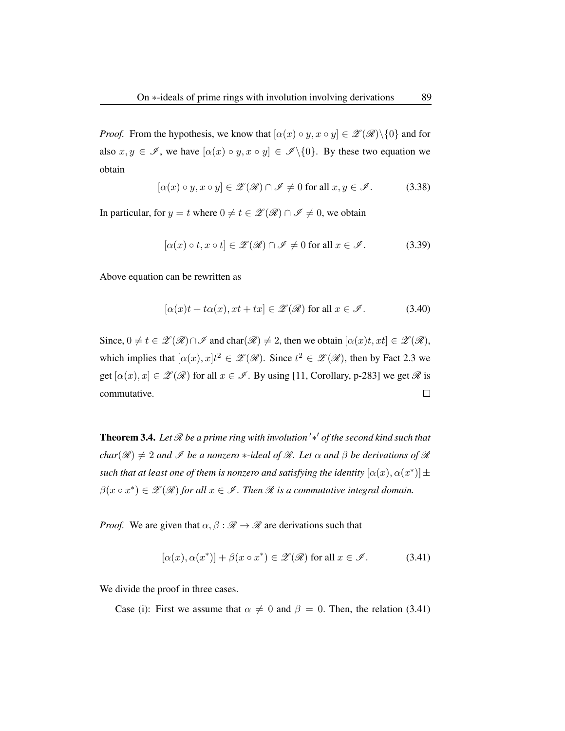*Proof.* From the hypothesis, we know that  $[\alpha(x) \circ y, x \circ y] \in \mathscr{L}(\mathscr{R}) \setminus \{0\}$  and for also  $x, y \in \mathscr{I}$ , we have  $[\alpha(x) \circ y, x \circ y] \in \mathscr{I} \backslash \{0\}$ . By these two equation we obtain

$$
[\alpha(x) \circ y, x \circ y] \in \mathscr{Z}(\mathscr{R}) \cap \mathscr{I} \neq 0 \text{ for all } x, y \in \mathscr{I}.
$$
 (3.38)

In particular, for  $y = t$  where  $0 \neq t \in \mathcal{Z}(\mathcal{R}) \cap \mathcal{I} \neq 0$ , we obtain

$$
[\alpha(x) \circ t, x \circ t] \in \mathscr{Z}(\mathscr{R}) \cap \mathscr{I} \neq 0 \text{ for all } x \in \mathscr{I}.
$$
 (3.39)

Above equation can be rewritten as

$$
[\alpha(x)t + t\alpha(x), xt + tx] \in \mathcal{Z}(\mathcal{R}) \text{ for all } x \in \mathcal{I}. \tag{3.40}
$$

Since,  $0 \neq t \in \mathcal{Z}(\mathcal{R}) \cap \mathcal{I}$  and char $(\mathcal{R}) \neq 2$ , then we obtain  $[\alpha(x)t, xt] \in \mathcal{Z}(\mathcal{R})$ , which implies that  $[\alpha(x), x]t^2 \in \mathcal{Z}(\mathcal{R})$ . Since  $t^2 \in \mathcal{Z}(\mathcal{R})$ , then by Fact 2.3 we get  $[\alpha(x), x] \in \mathcal{Z}(\mathcal{R})$  for all  $x \in \mathcal{I}$ . By using [11, Corollary, p-283] we get  $\mathcal{R}$  is commutative.  $\Box$ 

Theorem 3.4. Let *ℛ* be a prime ring with involution<sup>1</sup>\*' of the second kind such that *char*( $\mathcal{R}$ )  $\neq$  2 *and*  $\mathcal{I}$  *be a nonzero*  $*$ *-ideal of*  $\mathcal{R}$ *. Let*  $\alpha$  *and*  $\beta$  *be derivations of*  $\mathcal{R}$ such that at least one of them is nonzero and satisfying the identity  $[\alpha(x),\alpha(x^*)]$   $\pm$  $\beta(x \circ x^*) \in \mathscr{Z}(\mathscr{R})$  for all  $x \in \mathscr{I}$ . Then  $\mathscr{R}$  is a commutative integral domain.

*Proof.* We are given that  $\alpha, \beta : \mathcal{R} \to \mathcal{R}$  are derivations such that

$$
[\alpha(x), \alpha(x^*)] + \beta(x \circ x^*) \in \mathscr{Z}(\mathscr{R}) \text{ for all } x \in \mathscr{I}.
$$
 (3.41)

We divide the proof in three cases.

Case (i): First we assume that  $\alpha \neq 0$  and  $\beta = 0$ . Then, the relation (3.41)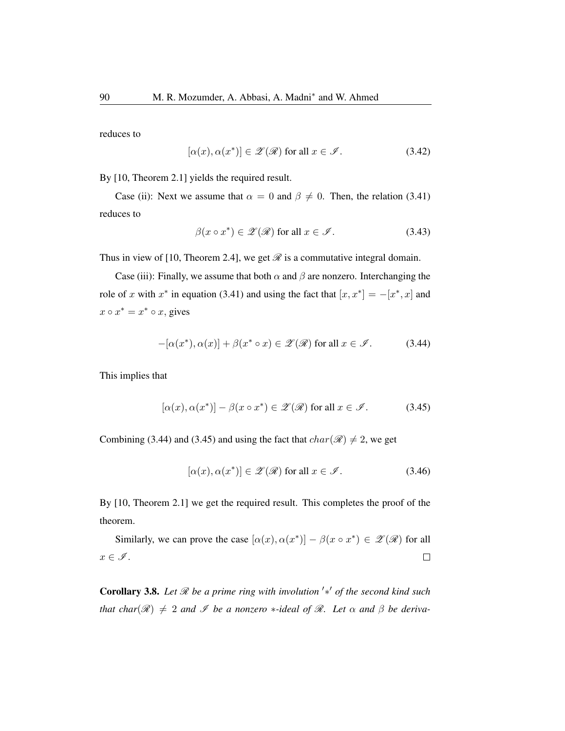reduces to

$$
[\alpha(x), \alpha(x^*)] \in \mathscr{Z}(\mathscr{R}) \text{ for all } x \in \mathscr{I}.
$$
 (3.42)

By [10, Theorem 2.1] yields the required result.

Case (ii): Next we assume that  $\alpha = 0$  and  $\beta \neq 0$ . Then, the relation (3.41) reduces to

$$
\beta(x \circ x^*) \in \mathscr{Z}(\mathscr{R}) \text{ for all } x \in \mathscr{I}. \tag{3.43}
$$

Thus in view of [10, Theorem 2.4], we get  $\mathscr R$  is a commutative integral domain.

Case (iii): Finally, we assume that both  $\alpha$  and  $\beta$  are nonzero. Interchanging the role of x with  $x^*$  in equation (3.41) and using the fact that  $[x, x^*] = -[x^*, x]$  and  $x \circ x^* = x^* \circ x$ , gives

$$
-[\alpha(x^*), \alpha(x)] + \beta(x^* \circ x) \in \mathscr{Z}(\mathscr{R}) \text{ for all } x \in \mathscr{I}.
$$
 (3.44)

This implies that

$$
[\alpha(x), \alpha(x^*)] - \beta(x \circ x^*) \in \mathscr{Z}(\mathscr{R}) \text{ for all } x \in \mathscr{I}.
$$
 (3.45)

Combining (3.44) and (3.45) and using the fact that  $char(\mathcal{R}) \neq 2$ , we get

$$
[\alpha(x), \alpha(x^*)] \in \mathscr{Z}(\mathscr{R}) \text{ for all } x \in \mathscr{I}.
$$
 (3.46)

By [10, Theorem 2.1] we get the required result. This completes the proof of the theorem.

Similarly, we can prove the case  $[\alpha(x), \alpha(x^*)] - \beta(x \circ x^*) \in \mathscr{L}(\mathscr{R})$  for all  $x \in \mathscr{I}$ .  $\Box$ 

Corollary 3.8. *Let* R *be a prime ring with involution* ′∗ ′ *of the second kind such that char*( $\mathcal{R}$ )  $\neq$  2 *and*  $\mathcal{I}$  *be a nonzero* \**-ideal of*  $\mathcal{R}$ *. Let*  $\alpha$  *and*  $\beta$  *be deriva-*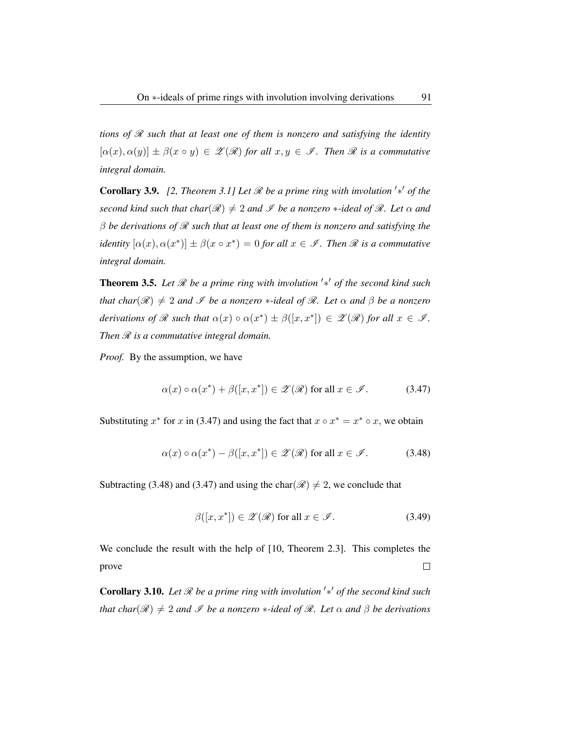*tions of* R *such that at least one of them is nonzero and satisfying the identity*  $[\alpha(x), \alpha(y)] \pm \beta(x \circ y) \in \mathcal{Z}(\mathcal{R})$  *for all*  $x, y \in \mathcal{I}$ *. Then*  $\mathcal{R}$  *is a commutative integral domain.*

**Corollary 3.9.** [2, Theorem 3.1] Let  $\mathcal{R}$  be a prime ring with involution  $'\ast'$  of the *second kind such that char*( $\mathcal{R}$ )  $\neq$  2 *and*  $\mathcal{I}$  *be a nonzero* \**-ideal of*  $\mathcal{R}$ *. Let*  $\alpha$  *and* β *be derivations of* R *such that at least one of them is nonzero and satisfying the identity*  $[\alpha(x), \alpha(x^*)] \pm \beta(x \circ x^*) = 0$  *for all*  $x \in \mathscr{I}$ *. Then*  $\Re$  *is a commutative integral domain.*

Theorem 3.5. Let *ℛ* be a prime ring with involution '\*' of the second kind such *that char*( $\mathcal{R}$ )  $\neq$  2 *and*  $\mathcal{I}$  *be a nonzero* \**-ideal of*  $\mathcal{R}$ *. Let*  $\alpha$  *and*  $\beta$  *be a nonzero derivations of*  $\mathscr R$  *such that*  $\alpha(x) \circ \alpha(x^*) \pm \beta([x, x^*]) \in \mathscr Z(\mathscr R)$  *for all*  $x \in \mathscr I$ *. Then*  $\mathcal R$  *is a commutative integral domain.* 

*Proof.* By the assumption, we have

$$
\alpha(x) \circ \alpha(x^*) + \beta([x, x^*]) \in \mathscr{Z}(\mathscr{R}) \text{ for all } x \in \mathscr{I}.
$$
 (3.47)

Substituting  $x^*$  for x in (3.47) and using the fact that  $x \circ x^* = x^* \circ x$ , we obtain

$$
\alpha(x) \circ \alpha(x^*) - \beta([x, x^*]) \in \mathscr{Z}(\mathscr{R}) \text{ for all } x \in \mathscr{I}.
$$
 (3.48)

Subtracting (3.48) and (3.47) and using the char( $\mathcal{R}$ )  $\neq$  2, we conclude that

$$
\beta([x, x^*]) \in \mathscr{Z}(\mathscr{R}) \text{ for all } x \in \mathscr{I}.
$$
 (3.49)

We conclude the result with the help of [10, Theorem 2.3]. This completes the prove  $\Box$ 

Corollary 3.10. Let *R* be a prime ring with involution '\*' of the second kind such *that char*( $\mathcal{R}$ )  $\neq$  2 *and*  $\mathcal{I}$  *be a nonzero* \**-ideal of*  $\mathcal{R}$ *. Let*  $\alpha$  *and*  $\beta$  *be derivations*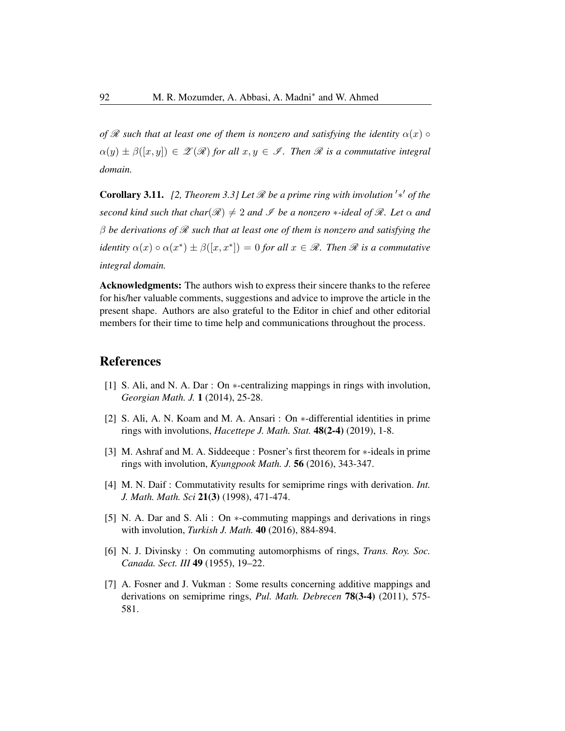*of*  $\mathcal R$  *such that at least one of them is nonzero and satisfying the identity*  $\alpha(x) \circ$  $\alpha(y) \pm \beta([x, y]) \in \mathscr{Z}(\mathscr{R})$  *for all*  $x, y \in \mathscr{I}$ *. Then*  $\mathscr{R}$  *is a commutative integral domain.*

**Corollary 3.11.** [2, Theorem 3.3] Let  $\mathcal{R}$  be a prime ring with involution '\*' of the *second kind such that char*( $\mathcal{R}$ )  $\neq$  2 *and*  $\mathcal{I}$  *be a nonzero* \**-ideal of*  $\mathcal{R}$ *. Let*  $\alpha$  *and* β *be derivations of* R *such that at least one of them is nonzero and satisfying the identity*  $\alpha(x) \circ \alpha(x^*) \pm \beta([x, x^*]) = 0$  *for all*  $x \in \mathcal{R}$ *. Then*  $\mathcal R$  *is a commutative integral domain.*

Acknowledgments: The authors wish to express their sincere thanks to the referee for his/her valuable comments, suggestions and advice to improve the article in the present shape. Authors are also grateful to the Editor in chief and other editorial members for their time to time help and communications throughout the process.

# References

- [1] S. Ali, and N. A. Dar : On  $*$ -centralizing mappings in rings with involution, *Georgian Math. J.* 1 (2014), 25-28.
- [2] S. Ali, A. N. Koam and M. A. Ansari : On ∗-differential identities in prime rings with involutions, *Hacettepe J. Math. Stat.* 48(2-4) (2019), 1-8.
- [3] M. Ashraf and M. A. Siddeeque : Posner's first theorem for \*-ideals in prime rings with involution, *Kyungpook Math. J.* 56 (2016), 343-347.
- [4] M. N. Daif : Commutativity results for semiprime rings with derivation. *Int. J. Math. Math. Sci* 21(3) (1998), 471-474.
- [5] N. A. Dar and S. Ali : On ∗-commuting mappings and derivations in rings with involution, *Turkish J. Math.* 40 (2016), 884-894.
- [6] N. J. Divinsky : On commuting automorphisms of rings, *Trans. Roy. Soc. Canada. Sect. III* 49 (1955), 19–22.
- [7] A. Fosner and J. Vukman : Some results concerning additive mappings and derivations on semiprime rings, *Pul. Math. Debrecen* 78(3-4) (2011), 575- 581.